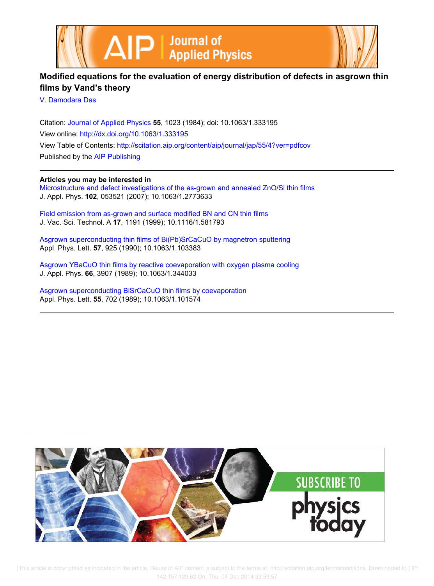



## **Modified equations for the evaluation of energy distribution of defects in asgrown thin films by Vand's theory**

V. Damodara Das

Citation: Journal of Applied Physics **55**, 1023 (1984); doi: 10.1063/1.333195 View online: http://dx.doi.org/10.1063/1.333195 View Table of Contents: http://scitation.aip.org/content/aip/journal/jap/55/4?ver=pdfcov Published by the AIP Publishing

### **Articles you may be interested in**

Microstructure and defect investigations of the as-grown and annealed ZnO/Si thin films J. Appl. Phys. **102**, 053521 (2007); 10.1063/1.2773633

Field emission from as-grown and surface modified BN and CN thin films J. Vac. Sci. Technol. A **17**, 1191 (1999); 10.1116/1.581793

Asgrown superconducting thin films of Bi(Pb)SrCaCuO by magnetron sputtering Appl. Phys. Lett. **57**, 925 (1990); 10.1063/1.103383

Asgrown YBaCuO thin films by reactive coevaporation with oxygen plasma cooling J. Appl. Phys. **66**, 3907 (1989); 10.1063/1.344033

Asgrown superconducting BiSrCaCuO thin films by coevaporation Appl. Phys. Lett. **55**, 702 (1989); 10.1063/1.101574

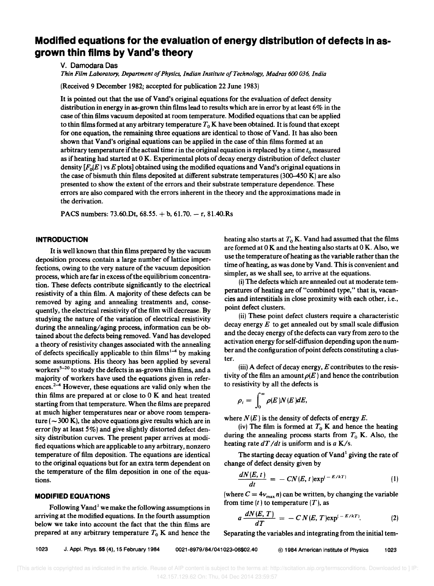# **Modified equations for the evaluation of energy distribution of defects in asgrown thin films by Vand's theory**

v. Damodara Das

*Thin Film Laboratory, Department 0/ Physics, Indian Institute o/Technology, Madras 600 036, India* 

(Received 9 December 1982; accepted for publication 22 June 1983)

It is pointed out that the use of Vand's original equations for the evaluation of defect density distribution in energy in as-grown thin films lead to results which are in error by at least 6% in the case of thin films vacuum deposited at room temperature. Modified equations that can be applied to thin films formed at any arbitrary temperature  $T_0$  K have been obtained. It is found that except for one equation, the remaining three equations are identical to those of Vand. It has also been shown that Vand's original equations can be applied in the case of thin films formed at an arbitrary temperature if the actual time  $t$  in the original equation is replaced by a time  $t_0$  measured as if heating had started at 0 K. Experimental plots of decay energy distribution of defect cluster density  $[F_0(E)$  vs  $E$  plots] obtained using the modified equations and Vand's original equations in the case of bismuth thin films deposited at different substrate temperatures (3@-450 K) are also presented to show the extent of the errors and their substrate temperature dependence. These errors are also compared with the errors inherent in the theory and the approximations made in the derivation.

PACS numbers: 73.60. Dt,  $68.55. + b$ ,  $61.70. - r$ ,  $81.40$ . Rs

#### **INTRODUCTION**

It is well known that thin films prepared by the vacuum deposition process contain a large number of lattice imperfections, owing to the very nature of the vacuum deposition process, which are far in excess of the equilibrium concentration. These defects contribute significantly to the electrical resistivity of a thin film. A majority of these defects can be removed by aging and annealing treatments and, consequently, the electrical resistivity of the film will decrease. By studying the nature of the variation of electrical resistivity during the annealing/aging process, information can be obtained about the defects being removed. Vand has developed a theory of resistivity changes associated with the annealing of defects specifically applicable to thin films $^{1-4}$  by making some assumptions. His theory has been applied by several workers<sup>5–20</sup> to study the defects in as-grown thin films, and a majority of workers have used the equations given in references. $2-4$  However, these equations are valid only when the thin films are prepared at or close to 0 K and heat treated starting from that temperature. When the films are prepared at much higher temperatures near or above room temperature ( $\sim$  300 K), the above equations give results which are in error (by at least 5%) and give slightly distorted defect density distribution curves. The present paper arrives at modified equations which are applicable to any arbitrary, nonzero temperature of film deposition. The equations are identical to the original equations but for an extra term dependent on the temperature of the film deposition in one of the equations.

#### **MODIFIED EQUATIONS**

Following Vand<sup>1</sup> we make the following assumptions in arriving at the modified equations. In the fourth assumption below we take into account the fact that the thin films are prepared at any arbitrary temperature  $T_0$  K and hence the heating also starts at  $T_0$  K. Vand had assumed that the films are formed at  $0 K$  and the heating also starts at  $0 K$ . Also, we use the temperature of heating as the variable rather than the time of heating, as was done by Vand. This is convenient and simpler, as we shall see, to arrive at the equations.

(i) The defects which are annealed out at moderate temperatures of heating are of "combined type," that is, vacancies and interstitials in close proximity with each other, i.e., point defect clusters.

(ii) These point defect clusters require a characteristic decay energy  $E$  to get annealed out by small scale diffusion and the decay energy of the defects can vary from zero to the activation energy for self-diffusion depending upon the number and the configuration of point defects constituting a cluster.

(iii) A defect of decay energy, *E* contributes to the resistivity of the film an amount  $\rho(E)$  and hence the contribution to resistivity by all the defects is

$$
\rho_i = \int_0^\infty \rho(E) N(E) dE,
$$

where  $N(E)$  is the density of defects of energy E.

(iv) The film is formed at  $T_0$  K and hence the heating during the annealing process starts from  $T_0$  K. Also, the heating rate *dT /dt* is uniform and is *a* K/s.

The starting decay equation of  $V$ and<sup>1</sup> giving the rate of change of defect density given by

$$
\frac{dN(E,t)}{dt} = -\,CN(E,t)\exp^{(-E/kT)}\tag{1}
$$

(where  $C = 4v_{\text{max}} n$ ) can be written, by changing the variable from time  $(t)$  to temperature  $(T)$ , as

$$
a\,\frac{dN(E,\,T)}{dT}\,=\,-\,C\,N(E,\,T)\exp^{(-\,E/kT)}.\qquad\qquad(2)
$$

Separating the variables and integrating from the initial tem-

1023 J. Appl. Phys. 55 (4), 15 February 1984 0021-8979/84/041023-06\$02.40 © 1984 American Institute of Physics 1023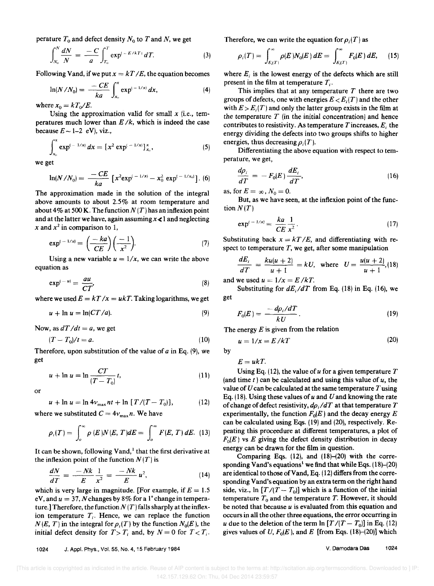perature  $T_0$  and defect density  $N_0$  to  $T$  and  $N$ , we get

$$
\int_{N_0}^N \frac{dN}{N} = -\frac{C}{a} \int_{T_0}^T \exp^{(-E/kT)} dT.
$$
 (3)

Following Vand, if we put  $x = kT/E$ , the equation becomes

$$
\ln(N/N_0) = \frac{-CE}{ka} \int_{x_0}^{x} \exp^{(-1/x)} dx, \tag{4}
$$

where  $x_0 = kT_0/E$ .

Using the approximation valid for small  $x$  (i.e., temperatures much lower than  $E/k$ , which is indeed the case because  $E \sim 1-2$  eV), viz.,

$$
\int_{x_0}^x \exp^{(-1/x)} dx = [x^2 \exp^{(-1/x)}]_{x_0}^x, \qquad (5)
$$

we get

et  
\n
$$
\ln(N/N_0) = \frac{-CE}{ka} \left[ x^2 \exp^{(-1/x)} - x_0^2 \exp^{(-1/x_0)} \right].
$$
 (6)

The approximation made in the solution of the integral above amounts to about 2.5% at room temperature and about 4% at 500 K. The function  $N(T)$  has an inflexion point and at the latter we have, again assuming  $x \le 1$  and neglecting

$$
x \text{ and } x^2 \text{ in comparison to 1,}
$$

$$
\exp^{(-1/x)} = \left(\frac{-ka}{CE}\right) \left(\frac{-1}{x^2}\right).
$$
 (7)

Using a new variable  $u = 1/x$ , we can write the above equation as

$$
\exp^{(-u)} = \frac{au}{CT}, \tag{8}
$$

where we used  $E = kT / x = ukT$ . Taking logarithms, we get

$$
u + \ln u = \ln(CT/a). \tag{9}
$$

Now, as  $dT/dt = a$ , we get

$$
(T - T_0)/t = a. \tag{10}
$$

Therefore, upon substitution of the value of  $a$  in Eq. (9), we get

$$
u + \ln u = \ln \frac{CT}{(T - T_0)} t,\tag{11}
$$

or

$$
u + \ln u = \ln 4v_{\text{max}} \, nt + \ln [T/(T - T_0)], \tag{12}
$$

where we substituted  $C = 4v_{\text{max}} n$ . We have

$$
\rho_i(T) = \int_o^{\infty} \rho(E) N(E, T) dE = \int_o^{\infty} F(E, T) dE. \tag{13}
$$

It can be shown, following Vand, $\frac{1}{2}$  that the first derivative at the inflexion point of the function  $N(T)$  is

$$
\frac{dN}{dT} = \frac{-Nk}{E} \frac{1}{x^2} = \frac{-Nk}{E} u^2, \qquad (14)
$$

which is very large in magnitude. [For example, if  $E = 1.5$ eV, and  $u = 37$ , N changes by 8% for a 1<sup>°</sup> change in temperature.] Therefore, the function  $N(T)$  falls sharply at the inflexion temperature  $T<sub>i</sub>$ . Hence, we can replace the function  $N(E, T)$  in the integral for  $\rho_i(T)$  by the function  $N_0(E)$ , the initial defect density for  $T>T_i$  and, by  $N = 0$  for  $T < T_i$ .

Therefore, we can write the equation for  $p_i(T)$  as

$$
\rho_i(T) = \int_{E_i(T)}^{\infty} \rho(E) N_0(E) dE = \int_{E_i(T)}^{\infty} F_0(E) dE, \qquad (15)
$$

where  $E_i$  is the lowest energy of the defects which are still present in the film at temperature  $T_i$ .

This implies that at any temperature  $T$  there are two groups of defects, one with energies  $E \lt E$ ; (T) and the other with  $E > E_i(T)$  and only the latter group exists in the film at the temperature  $T$  (in the initial concentration) and hence contributes to resistivity. As temperature Tincreases, *E;* the energy dividing the defects into two groups shifts to higher energies, thus decreasing  $\rho_i(T)$ .

Differentiating the above equation with respect to temperature, we get,

$$
\frac{d\rho_i}{dT} = -F_0(E)\frac{dE_i}{dT},\qquad(16)
$$

as, for  $E = \infty$ ,  $N_0 = 0$ .

But, as we have seen, at the inflexion point of the function  $N(T)$ 

$$
\exp^{t-1/x} = \frac{ka}{CE} \frac{1}{x^2}.
$$
 (17)

Substituting back  $x = kT/E$ , and differentiating with respect to temperature  $T$ , we get, after some manipulation

$$
\frac{dE_i}{dT} = \frac{ku(u+2)}{u+1} = kU, \text{ where } U = \frac{u(u+2)}{u+1}, (18)
$$

and we used  $u = 1/x = E/kT$ .

Substituting for  $dE_i/dT$  from Eq. (18) in Eq. (16), we get

$$
F_0(E) = \frac{-d\rho_i/dT}{kU} \,. \tag{19}
$$

The energy *E* is given from the relation

$$
u = 1/x = E/kT
$$
 (20)

 $E= u kT$ .

by

Using Eq. (12), the value of *u* for a given temperature T (and time *t)* can be calculated and using this value of *u,* the value of  $U$  can be calculated at the same temperature  $T$  using Eq. (IS). Using these values of *u* and *U* and knowing the rate of change of defect resistivity,  $d\rho_i/dT$  at that temperature  $T$ experimentally, the function  $F_0(E)$  and the decay energy *E* can be calculated using Eqs. (19) and (20), respectively. Repeating this proceedure at different temperatures, a plot of  $F_0(E)$  vs E giving the defect density distribution in decay energy can be drawn for the film in question.

Comparing Eqs. (12), and (18)-(20) with the corresponding Vand's equations<sup>1</sup> we find that while Eqs.  $(18)$ – $(20)$ are identical to those ofVand, Eq. (12) differs from the corresponding Vand's equation by an extra term on the right hand side, viz.,  $\ln [T/(T - T_0)]$  which is a function of the initial temperature  $T_0$  and the temperature *T*. However, it should be noted that because *u* is evaluated from this equation and occurs in all the other three equations, the error occurring in *u* due to the deletion of the term  $\ln [T/(T - T_0)]$  in Eq. (12) gives values of U,  $F_0(E)$ , and E [from Eqs. (18)-(20)] which

1024 J. Appl. Phys., Vol. 55, No.4, 15 February 1984

V. Oamodara Das 1024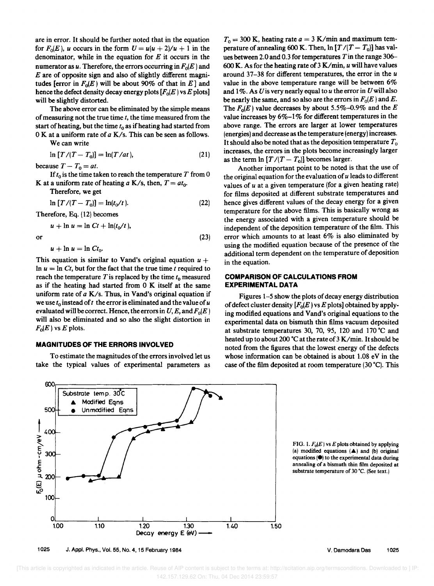are in error. It should be further noted that in the equation for  $F_0(E)$ , u occurs in the form  $U = u(u + 2)/u + 1$  in the denominator, while in the equation for *E* it occurs in the numerator as u. Therefore, the errors occurring in  $F_0(E)$  and *E* are of opposite sign and also of slightly different magnitudes [error in  $F_0(E)$  will be about 90% of that in E] and hence the defect density decay energy plots  $[F_0(E) \text{ vs } E \text{ plots}]$ will be slightly distorted.

The above error can be eliminated by the simple means of measuring not the true time *t,* the time measured from the start of heating, but the time *to* as if heating had started from OK at a uniform rate of a *K/s.* This can be seen as follows.

We can write

$$
\ln\left[T/(T-T_0)\right] = \ln(T/at),\tag{21}
$$

because  $T - T_0 = at$ .

If  $t_0$  is the time taken to reach the temperature  $T$  from 0 K at a uniform rate of heating  $a$  K/s, then,  $T = at_0$ .

Therefore, we get

$$
\ln [T/(T - T_0)] = \ln(t_0/t). \tag{22}
$$

Therefore, Eq. (12) becomes

$$
u + \ln u = \ln Ct + \ln(t_0/t),
$$

or  $(23)$ 

 $u + \ln u = \ln Ct_0$ .

This equation is similar to Vand's original equation  $u +$ In  $u = \ln Ct$ , but for the fact that the true time *t* required to reach the temperature  $T$  is replaced by the time  $t_0$  measured as if the heating had started from 0 K itself at the same uniform rate of a *K/s.* Thus, in Vand's original equation if we use  $t_0$  instead of  $t_1$  the error is eliminated and the value of  $u_1$ evaluated will be correct. Hence, the errors in  $U, E$ , and  $F_0(E)$ will also be eliminated and so also the slight distortion in  $F_0(E)$  vs E plots.

### **MAGNITUDES OF THE ERRORS INVOLVED**

To estimate the magnitudes of the errors involved let us take the typical values of experimental parameters as

 $T_0 = 300$  K, heating rate  $a = 3$  K/min and maximum temperature of annealing 600 K. Then,  $\ln [T/(T - T_0)]$  has values between 2.0 and 0.3 for temperatures *Tin* the range 306- 600 K. As for the heating rate of 3 *K/min, u* will have values around 37-38 for different temperatures, the error in the *u*  value in the above temperature range will be between 6% and  $1\%$ . As U is very nearly equal to  $u$  the error in U will also be nearly the same, and so also are the errors in  $F_0(E)$  and E. The  $F_0(E)$  value decreases by about 5.5%-0.9% and the E value increases by  $6\%-1\%$  for different temperatures in the above range. The errors are larger at lower temperatures (energies) and decrease as the temperature (energy) increases. It should also be noted that as the deposition temperature *To*  increases, the errors in the plots become increasingly larger as the term  $\ln [T/(T - T_0)]$  becomes larger.

Another important point to be noted is that the use of the original equation for the evaluation of *u* leads to different values of *u* at a given temperature (for a given heating rate) for films deposited at different substrate temperatures and hence gives different values of the decay energy for a given temperature for the above films. This is basically wrong as the energy associated with a given temperature should be independent of the deposition temperature of the film. This error which amounts to at least 6% is also eliminated by using the modified equation because of the presence of the additional term dependent on the temperature of deposition in the equation.

### **COMPARISON OF CALCULATIONS FROM EXPERIMENTAL DATA**

Figures 1-5 show the plots of decay energy distribution of defect cluster density  $[F_0(E) \text{ vs } E \text{ plots}]$  obtained by applying modified equations and Vand's original equations to the experimental data on bismuth thin films vacuum deposited at substrate temperatures 30, 70, 95, 120 and 170·C and heated up to about 200 °C at the rate of 3 K/min. It should be noted from the figures that the lowest energy of the defects whose information can be obtained is about 1.08 eV in the case of the film deposited at room temperature  $(30 \degree C)$ . This



FIG. 1.  $F_0(E)$  vs  $E$  plots obtained by applying (a) modified equations  $(A)$  and (b) original equations  $(\bullet)$  to the experimental data during annealing of a bismuth thin film deposited at substrate temperature of 30 °C. (See text.)



V. Oamodara Oas 1025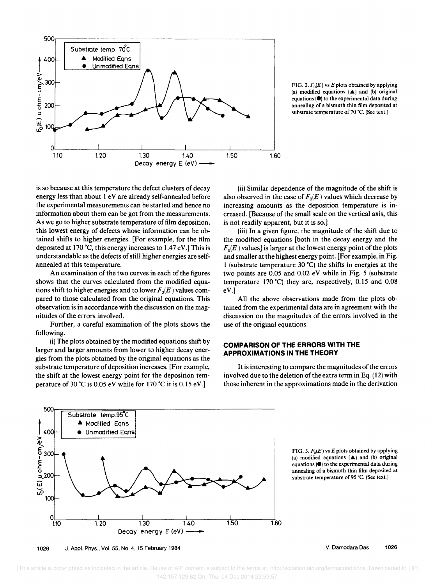

FIG. 2.  $F_0(E)$  vs E plots obtained by applying (a) modified equations  $(A)$  and (b) original equations  $(\bullet)$  to the experimental data during annealing of a bismuth thin film deposited at substrate temperature of 70 'C. (See text.)

is so because at this temperature the defect clusters of decay energy less than about 1 eV are already self-annealed before the experimental measurements can be started and hence no information about them can be got from the measurements. As we go to higher substrate temperature of film deposition, this lowest energy of defects whose information can be obtained shifts to higher energies. [For example, for the film deposited at 170°C, this energy increases to 1.47 eV.] This is understandable as the defects of still higher energies are selfannealed at this temperature.

An examination of the two curves in each of the figures shows that the curves calculated from the modified equations shift to higher energies and to lower  $F_0(E)$  values compared to those calculated from the original equations. This observation is in accordance with the discussion on the magnitudes of the errors involved.

Further, a careful examination of the plots shows the following.

(i) The plots obtained by the modified equations shift by larger and larger amounts from lower to higher decay energies from the plots obtained by the original equations as the substrate temperature of deposition increases. [For example, the shift at the lowest energy point for the deposition temperature of 30 °C is 0.05 eV while for 170 °C it is 0.15 eV.]

(ii) Similar dependence of the magnitude of the shift is also observed in the case of  $F_0(E)$  values which decrease by increasing amounts as the deposition temperature is increased. [Because of the small scale on the vertical axis, this is not readily apparent, but it is so.]

(iii) In a given figure, the magnitude of the shift due to the modified equations [both in the decay energy and the  $F<sub>0</sub>(E)$  values] is larger at the lowest energy point of the plots and smaller at the highest energy point. [For example, in Fig. 1 (substrate temperature 30°C) the shifts in energies at the two points are 0.05 and 0.02 eV while in Fig. 5 (substrate temperature 170°C) they are, respectively, 0.15 and 0.08 eV.]

All the above observations made from the plots obtained from the experimental data are in agreement with the discussion on the magnitudes of the errors involved in the use of the original equations.

#### **COMPARISON OF THE ERRORS WITH THE APPROXIMATIONS IN THE THEORY**

It is interesting to compare the magnitudes of the errors involved due to the deletion of the extra term in Eq. (12) with those inherent in the approximations made in the derivation



FIG. 3.  $F_0(E)$  vs E plots obtained by applying (a) modified equations  $(A)$  and (b) original equations  $(①)$  to the experimental data during annealing of a bismuth thin film deposited at substrate temperature of 95 'C. (See text.)

1026 J. Appl. Phys., Vol. 55, No.4, 15 February 1984

V. Damodara Das 1026

[This article is copyrighted as indicated in the article. Reuse of AIP content is subject to the terms at: http://scitation.aip.org/termsconditions. Downloaded to ] IP: 142.157.129.62 On: Thu, 04 Dec 2014 23:59:57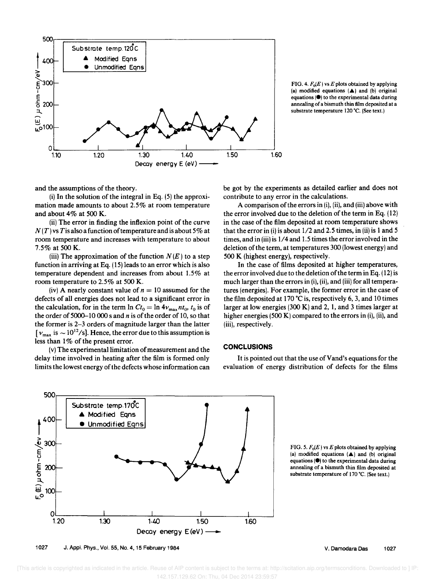

FIG. 4.  $F_0(E)$  vs E plots obtained by applying (a) modified equations  $(A)$  and (b) original equations  $(\bullet)$  to the experimental data during annealing of a bismuth thin film deposited at a substrate temperature 120 °C. (See text.)

and the assumptions of the theory.

 $(i)$  In the solution of the integral in Eq.  $(5)$  the approximation made amounts to about 2.5% at room temperature and about 4% at 500 K.

(ii) The error in finding the inflexion point of the curve  $N(T)$  vs T is also a function of temperature and is about 5% at room temperature and increases with temperature to about 7.5% at 500 K.

(iii) The approximation of the function  $N(E)$  to a step function in arriving at Eq. (15) leads to an error which is also temperature dependent and increases from about 1.5% at room temperature to 2.5% at 500 K.

(iv) A nearly constant value of  $n = 10$  assumed for the defects of all energies does not lead to a significant error in the calculation, for in the term  $\ln Ct_0 = \ln 4v_{\text{max}}$  *nt*<sub>0</sub>, *t*<sub>0</sub> is of the order of 5000-10 000 sand *n* is of the order of 10, so that the former is 2-3 orders of magnitude larger than the latter  $[v_{\text{max}}]$  is  $\sim 10^{12}/\text{s}$ . Hence, the error due to this assumption is less than 1% of the present error.

(v) The experimental limitation of measurement and the delay time involved in heating after the film is formed only limits the lowest energy of the defects whose information can

be got by the experiments as detailed earlier and does not contribute to any error in the calculations.

A comparison of the errors in (i), (ii), and (iii) above with the error involved due to the deletion of the term in Eq. (12) in the case of the film deposited at room temperature shows that the error in (i) is about  $1/2$  and 2.5 times, in (ii) is 1 and 5 times, and in (iii) is 1/4 and 1.5 times the error involved in the deletion of the term, at temperatures 300 (lowest energy) and 500 K (highest energy), respectively.

In the case of films deposited at higher temperatures, the error involved due to the deletion of the term in Eq. (12) is much larger than the errors in (i), (ii), and (iii) for all temperatures (energies). For example, the former error in the case of the film deposited at 170  $^{\circ}$ C is, respectively 6, 3, and 10 times larger at low energies (300 K) and 2, 1, and 3 times larger at higher energies (500 K) compared to the errors in (i), (ii), and (iii), respectively.

### **CONCLUSIONS**

It is pointed out that the use of Vand's equations for the evaluation of energy distribution of defects for the films



1027 J. Appl. Phys .• Vol. 55, No.4, 15 February 1984

FIG. 5.  $F_0(E)$  vs E plots obtained by applying (a) modified equations  $(A)$  and (b) original equations  $(\bullet)$  to the experimental data during annealing of a bismuth thin film deposited at substrate temperature of 170 °C. (See text.)

V. Damodara Das 1027